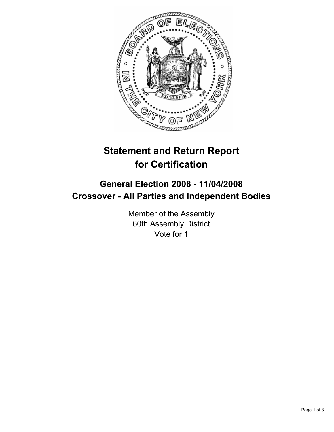

# **Statement and Return Report for Certification**

## **General Election 2008 - 11/04/2008 Crossover - All Parties and Independent Bodies**

Member of the Assembly 60th Assembly District Vote for 1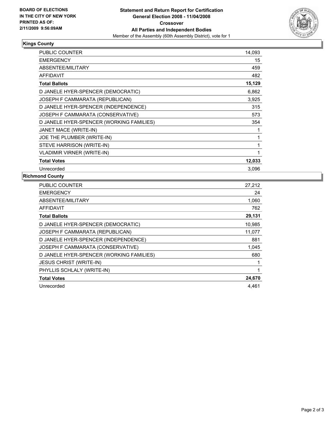

#### **Kings County**

| PUBLIC COUNTER                           | 14,093 |  |
|------------------------------------------|--------|--|
| <b>EMERGENCY</b>                         | 15     |  |
| ABSENTEE/MILITARY                        | 459    |  |
| <b>AFFIDAVIT</b>                         | 482    |  |
| <b>Total Ballots</b>                     | 15,129 |  |
| D JANELE HYER-SPENCER (DEMOCRATIC)       | 6,862  |  |
| JOSEPH F CAMMARATA (REPUBLICAN)          | 3,925  |  |
| D JANELE HYER-SPENCER (INDEPENDENCE)     | 315    |  |
| JOSEPH F CAMMARATA (CONSERVATIVE)        | 573    |  |
| D JANELE HYER-SPENCER (WORKING FAMILIES) | 354    |  |
| JANET MACE (WRITE-IN)                    |        |  |
| JOE THE PLUMBER (WRITE-IN)               |        |  |
| STEVE HARRISON (WRITE-IN)                |        |  |
| <b>VLADIMIR VIRNER (WRITE-IN)</b>        |        |  |
| <b>Total Votes</b>                       | 12,033 |  |
| Unrecorded                               | 3,096  |  |

### **Richmond County**

| <b>PUBLIC COUNTER</b>                    | 27,212 |
|------------------------------------------|--------|
| <b>EMERGENCY</b>                         | 24     |
| ABSENTEE/MILITARY                        | 1,060  |
| <b>AFFIDAVIT</b>                         | 762    |
| <b>Total Ballots</b>                     | 29,131 |
| D JANELE HYER-SPENCER (DEMOCRATIC)       | 10,985 |
| JOSEPH F CAMMARATA (REPUBLICAN)          | 11,077 |
| D JANELE HYER-SPENCER (INDEPENDENCE)     | 881    |
| JOSEPH F CAMMARATA (CONSERVATIVE)        | 1,045  |
| D JANELE HYER-SPENCER (WORKING FAMILIES) | 680    |
| <b>JESUS CHRIST (WRITE-IN)</b>           |        |
| PHYLLIS SCHLALY (WRITE-IN)               |        |
| <b>Total Votes</b>                       | 24,670 |
| Unrecorded                               | 4.461  |